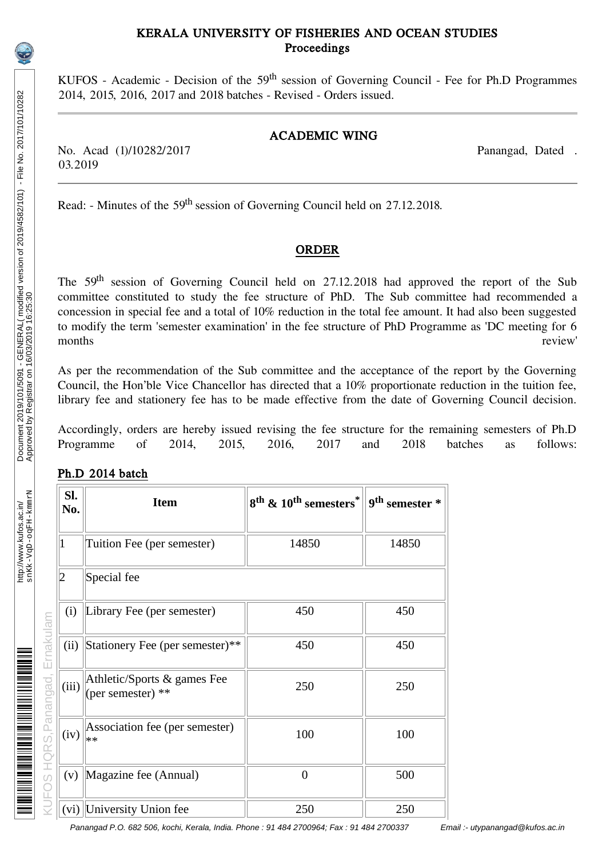### KERALA UNIVERSITY OF FISHERIES AND OCEAN STUDIES Proceedings

KUFOS - Academic - Decision of the 59<sup>th</sup> session of Governing Council - Fee for Ph.D Programmes 2014, 2015, 2016, 2017 and 2018 batches - Revised - Orders issued.

#### ACADEMIC WING

No. Acad (1)/10282/2017 Panangad, Dated . 03.2019

Read: - Minutes of the 59<sup>th</sup> session of Governing Council held on 27.12.2018.

## ORDER

The 59<sup>th</sup> session of Governing Council held on 27.12.2018 had approved the report of the Sub committee constituted to study the fee structure of PhD. The Sub committee had recommended a concession in special fee and a total of 10% reduction in the total fee amount. It had also been suggested to modify the term 'semester examination' in the fee structure of PhD Programme as 'DC meeting for 6 months review'

As per the recommendation of the Sub committee and the acceptance of the report by the Governing Council, the Hon'ble Vice Chancellor has directed that a 10% proportionate reduction in the tuition fee, library fee and stationery fee has to be made effective from the date of Governing Council decision.

Accordingly, orders are hereby issued revising the fee structure for the remaining semesters of Ph.D<br>Programme of 2014, 2015, 2016, 2017 and 2018 batches as follows: Programme of 2014, 2015, 2016, 2017 and 2018 batches as follows:

|  | Ph.D 2014 batch |
|--|-----------------|
|  |                 |

| SI.<br>No. | <b>Item</b>                                      | 8 <sup>th</sup> & 10 <sup>th</sup> semesters <sup>*</sup> | 9 <sup>th</sup> semester * |
|------------|--------------------------------------------------|-----------------------------------------------------------|----------------------------|
| 1          | Tuition Fee (per semester)                       | 14850                                                     | 14850                      |
| 2          | Special fee                                      |                                                           |                            |
| (i)        | Library Fee (per semester)                       | 450                                                       | 450                        |
| (ii)       | Stationery Fee (per semester)**                  | 450                                                       | 450                        |
| (iii)      | Athletic/Sports & games Fee<br>(per semester) ** | 250                                                       | 250                        |
| (iv)       | Association fee (per semester)<br>∗∗             | 100                                                       | 100                        |
| (v)        | Magazine fee (Annual)                            | $\overline{0}$                                            | 500                        |
|            | (vi)  University Union fee                       | 250                                                       | 250                        |

Panangad P.O. 682 506, kochi, Kerala, India. Phone : 91 484 2700964; Fax : 91 484 2700337 Email :- utypanangad@kufos.ac.in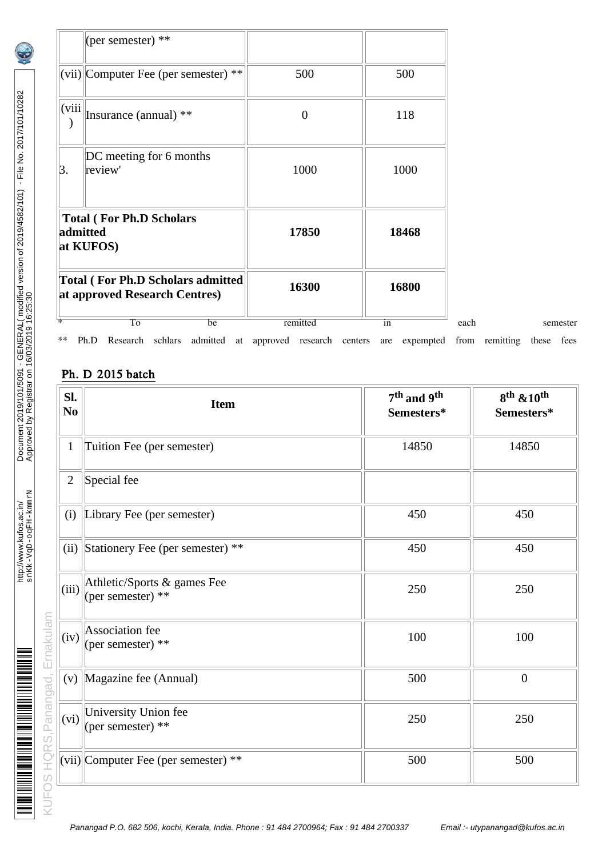| $\ast$ $\ast$ | To<br>be<br>Research schlars<br>Ph.D                               | remitted<br>admitted at approved research centers | in<br>expempted<br>are | each | from remitting these fees | semester |
|---------------|--------------------------------------------------------------------|---------------------------------------------------|------------------------|------|---------------------------|----------|
|               | Total (For Ph.D Scholars admitted<br>at approved Research Centres) | 16300                                             | 16800                  |      |                           |          |
| admitted      | <b>Total (For Ph.D Scholars</b><br>at KUFOS)                       | 17850                                             | 18468                  |      |                           |          |
| З.            | DC meeting for 6 months<br>review'                                 | 1000                                              | 1000                   |      |                           |          |
| (viii)        | Insurance (annual) **                                              | $\overline{0}$                                    | 118                    |      |                           |          |
|               | $ (\text{vii}) $ Computer Fee (per semester) **                    | 500                                               | 500                    |      |                           |          |
|               | (per semester) **                                                  |                                                   |                        |      |                           |          |

# Ph. D 2015 batch

| Sl.<br>N <sub>0</sub> | <b>Item</b>                                      | 7 <sup>th</sup> and 9 <sup>th</sup><br>Semesters* | 8 <sup>th</sup> & 10 <sup>th</sup><br>Semesters* |
|-----------------------|--------------------------------------------------|---------------------------------------------------|--------------------------------------------------|
| $\mathbf{1}$          | Tuition Fee (per semester)                       | 14850                                             | 14850                                            |
| $\overline{2}$        | Special fee                                      |                                                   |                                                  |
| (i)                   | Library Fee (per semester)                       | 450                                               | 450                                              |
|                       | (ii) Stationery Fee (per semester) **            | 450                                               | 450                                              |
| (iii)                 | Athletic/Sports & games Fee<br>(per semester) ** | 250                                               | 250                                              |
| (iv)                  | Association fee<br>(per semester) **             | 100                                               | 100                                              |
|                       | (v)   Magazine fee (Annual)                      | 500                                               | $\boldsymbol{0}$                                 |
| (vi)                  | <b>University Union fee</b><br>(per semester) ** | 250                                               | 250                                              |
|                       | (vii) Computer Fee (per semester) **             | 500                                               | 500                                              |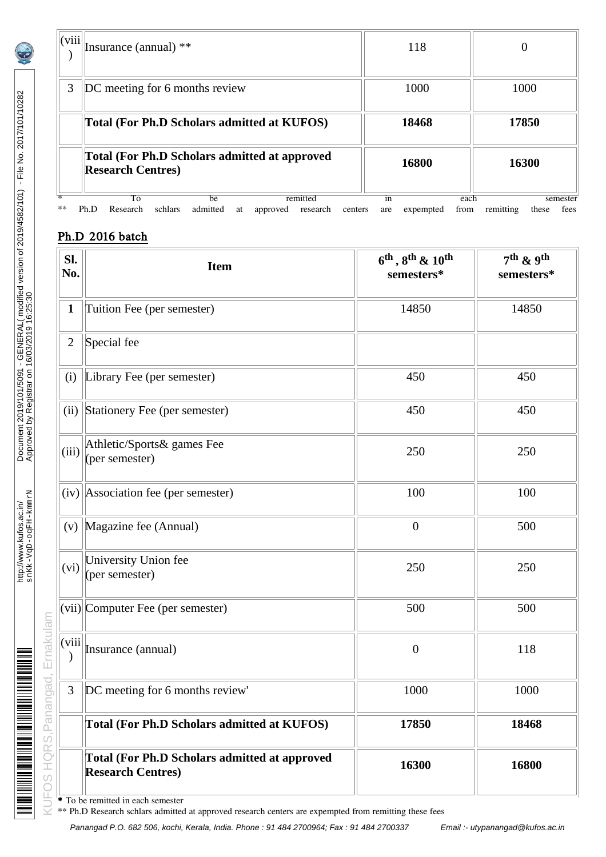| (viii) | Insurance (annual) **                                                                                    | 118                                    | 0                                      |  |
|--------|----------------------------------------------------------------------------------------------------------|----------------------------------------|----------------------------------------|--|
| 3      | DC meeting for 6 months review                                                                           | 1000                                   | 1000                                   |  |
|        | Total (For Ph.D Scholars admitted at KUFOS)                                                              | 18468                                  | 17850                                  |  |
|        | <b>Total (For Ph.D Scholars admitted at approved)</b><br><b>Research Centres)</b>                        | 16800                                  | 16300                                  |  |
| **     | To<br>remitted<br>be<br>schlars<br>admitted<br>Ph.D<br>Research<br>research<br>approved<br>centers<br>at | each<br>1n<br>expempted<br>from<br>are | semester<br>remitting<br>fees<br>these |  |

# Ph.D 2016 batch

| SI.<br>No. | <b>Item</b>                                                                      | $6^{th}$ , $8^{th}$ & $10^{th}$<br>semesters* | $7th$ & 9 <sup>th</sup><br>semesters* |
|------------|----------------------------------------------------------------------------------|-----------------------------------------------|---------------------------------------|
| 1          | Tuition Fee (per semester)                                                       | 14850                                         | 14850                                 |
| 2          | Special fee                                                                      |                                               |                                       |
| (i)        | Library Fee (per semester)                                                       | 450                                           | 450                                   |
| (ii)       | Stationery Fee (per semester)                                                    | 450                                           | 450                                   |
| (iii)      | Athletic/Sports& games Fee<br>(per semester)                                     | 250                                           | 250                                   |
|            | $(iv)$ Association fee (per semester)                                            | 100                                           | 100                                   |
| (v)        | Magazine fee (Annual)                                                            | $\boldsymbol{0}$                              | 500                                   |
| (vi)       | University Union fee<br>(per semester)                                           | 250                                           | 250                                   |
|            | (vii) Computer Fee (per semester)                                                | 500                                           | 500                                   |
| (viii      | Insurance (annual)                                                               | $\boldsymbol{0}$                              | 118                                   |
| 3          | DC meeting for 6 months review'                                                  | 1000                                          | 1000                                  |
|            | <b>Total (For Ph.D Scholars admitted at KUFOS)</b>                               | 17850                                         | 18468                                 |
|            | <b>Total (For Ph.D Scholars admitted at approved</b><br><b>Research Centres)</b> | 16300                                         | 16800                                 |

\*\* Ph.D Research schlars admitted at approved research centers are expempted from remitting these fees

Panangad P.O. 682 506, kochi, Kerala, India. Phone : 91 484 2700964; Fax : 91 484 2700337 Email :- utypanangad@kufos.ac.in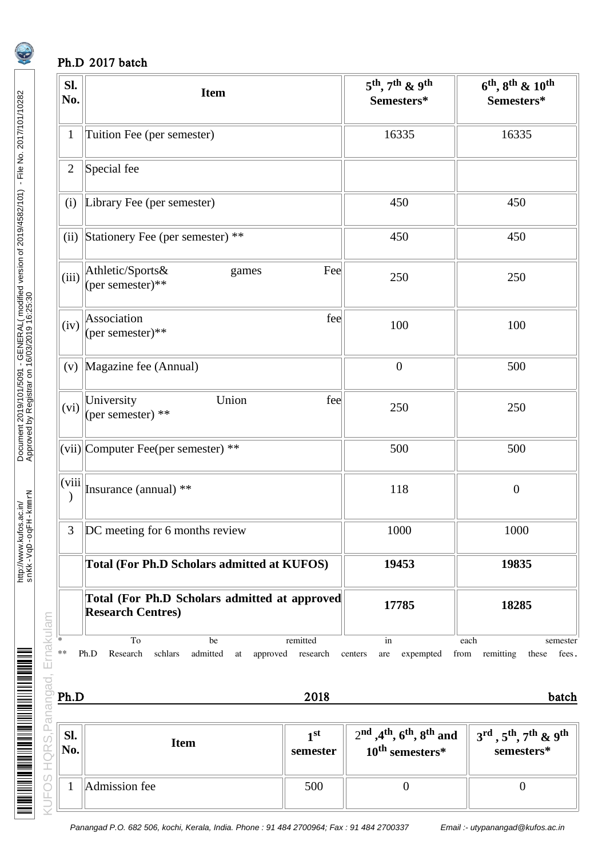## Ph.D 2017 batch

| Sl.<br>No.                                                                                  | <b>Item</b>                                                                      |                             | $5^{th}$ , 7 <sup>th</sup> & 9 <sup>th</sup><br>Semesters*                                     | $6^{th}$ , $8^{th}$ & $10^{th}$<br>Semesters*                                       |
|---------------------------------------------------------------------------------------------|----------------------------------------------------------------------------------|-----------------------------|------------------------------------------------------------------------------------------------|-------------------------------------------------------------------------------------|
| $\mathbf{1}$                                                                                | Tuition Fee (per semester)                                                       |                             | 16335                                                                                          | 16335                                                                               |
| 2                                                                                           | Special fee                                                                      |                             |                                                                                                |                                                                                     |
| (i)                                                                                         | Library Fee (per semester)                                                       |                             | 450                                                                                            | 450                                                                                 |
| (ii)                                                                                        | Stationery Fee (per semester) **                                                 |                             | 450                                                                                            | 450                                                                                 |
|                                                                                             | (iii) Athletic/Sports&<br>(per semester)**<br>games                              | Fee                         | 250                                                                                            | 250                                                                                 |
| (iv)                                                                                        | Association<br>(per semester)**                                                  | fee                         | 100                                                                                            | 100                                                                                 |
| (v)                                                                                         | Magazine fee (Annual)                                                            |                             | $\boldsymbol{0}$                                                                               | 500                                                                                 |
| (vi)                                                                                        | University<br>Union<br>(per semester) **                                         | fee                         | 250                                                                                            | 250                                                                                 |
|                                                                                             | (vii) Computer Fee(per semester) **                                              |                             | 500                                                                                            | 500                                                                                 |
| (viii)<br>$\mathcal{)}$                                                                     | Insurance (annual) **                                                            |                             | 118                                                                                            | $\boldsymbol{0}$                                                                    |
| 3                                                                                           | DC meeting for 6 months review                                                   | 1000                        | 1000                                                                                           |                                                                                     |
|                                                                                             | <b>Total (For Ph.D Scholars admitted at KUFOS)</b>                               |                             | 19453                                                                                          | 19835                                                                               |
|                                                                                             | <b>Total (For Ph.D Scholars admitted at approved</b><br><b>Research Centres)</b> |                             | 17785                                                                                          | 18285                                                                               |
| VUFOS HQRS, Panangad, Ernakulam<br><b>Ernakulam *</b><br><b>Ph.D</b><br><b>Ph.D</b><br>Ph.D | To<br>be<br>Research<br>schlars<br>admitted<br>Ph.D<br>approved research<br>at   | remitted<br>2018            | in<br>expempted<br>centers<br>are                                                              | each<br>semester<br>from remitting<br>fees.<br>these<br>batch                       |
|                                                                                             | <b>Item</b>                                                                      | 1 <sup>st</sup><br>semester | $2nd$ , 4 <sup>th</sup> , 6 <sup>th</sup> , 8 <sup>th</sup> and<br>10 <sup>th</sup> semesters* | $3^{\text{rd}}$ , $5^{\text{th}}$ , $7^{\text{th}}$ & $9^{\text{th}}$<br>semesters* |
|                                                                                             | Admission fee                                                                    | 500                         | $\boldsymbol{0}$                                                                               | $\boldsymbol{0}$                                                                    |

| SI.<br>No. | Item          | 1 st<br>semester | $2nd$ , 4 <sup>th</sup> , 6 <sup>th</sup> , 8 <sup>th</sup> and<br>$10^{\text{th}}$ semesters* | $\parallel$ 3 <sup>rd</sup> , 5 <sup>th</sup> , 7 <sup>th</sup> & 9 <sup>th</sup><br>semesters* |
|------------|---------------|------------------|------------------------------------------------------------------------------------------------|-------------------------------------------------------------------------------------------------|
|            | Admission fee | 500              |                                                                                                |                                                                                                 |

http://www.kufos.ac.in/

<u>in historia al monte del contento del contento del contento del contento del contento del contento del content</u>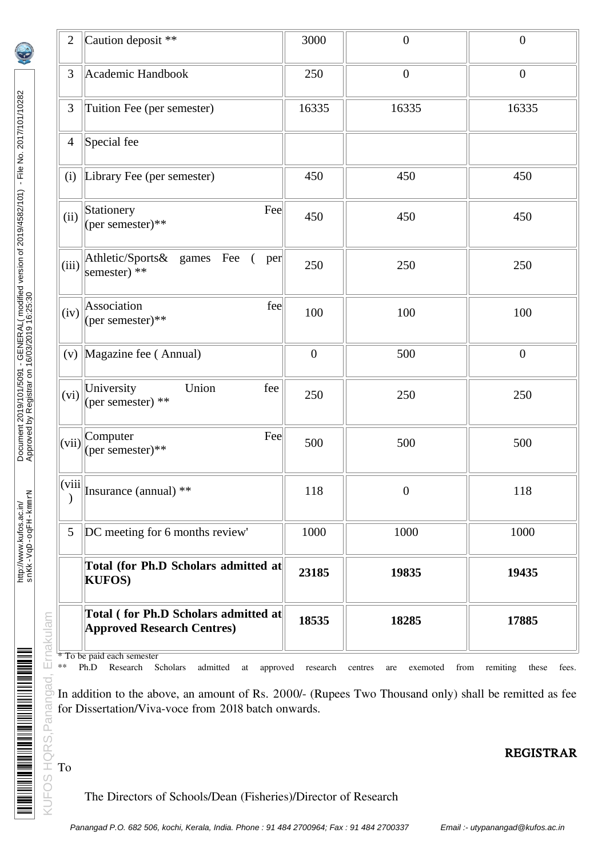| 2                          | Caution deposit **                                                                                                                                                                                                                                                                                                                    | 3000             | $\mathbf{0}$                       | $\boldsymbol{0}$           |
|----------------------------|---------------------------------------------------------------------------------------------------------------------------------------------------------------------------------------------------------------------------------------------------------------------------------------------------------------------------------------|------------------|------------------------------------|----------------------------|
| 3                          | Academic Handbook                                                                                                                                                                                                                                                                                                                     | 250              | $\mathbf{0}$                       | $\boldsymbol{0}$           |
| 3                          | Tuition Fee (per semester)                                                                                                                                                                                                                                                                                                            | 16335            | 16335                              | 16335                      |
| 4                          | Special fee                                                                                                                                                                                                                                                                                                                           |                  |                                    |                            |
| (i)                        | Library Fee (per semester)                                                                                                                                                                                                                                                                                                            | 450              | 450                                | 450                        |
| (ii)                       | Stationery<br>Fee<br>(per semester)**                                                                                                                                                                                                                                                                                                 | 450              | 450                                | 450                        |
| (iii)                      | Athletic/Sports& games Fee<br>$\left($<br>per<br>semester) **                                                                                                                                                                                                                                                                         | 250              | 250                                | 250                        |
| (iv)                       | fee<br>Association<br>(per semester)**                                                                                                                                                                                                                                                                                                | 100              | 100                                | 100                        |
| (v)                        | Magazine fee (Annual)                                                                                                                                                                                                                                                                                                                 | $\boldsymbol{0}$ | 500                                | $\boldsymbol{0}$           |
| (vi)                       | Union<br>fee<br>University<br>(per semester) **                                                                                                                                                                                                                                                                                       | 250              | 250                                | 250                        |
|                            | Fee<br>$(vii)$ <sup>Computer</sup><br>(per semester)**                                                                                                                                                                                                                                                                                | 500              | 500                                | 500                        |
| $\vert$ (viii $\vert\vert$ | Insurance (annual) **                                                                                                                                                                                                                                                                                                                 | 118              | $\boldsymbol{0}$                   | 118                        |
| 5                          | DC meeting for 6 months review'                                                                                                                                                                                                                                                                                                       | 1000             | 1000                               | 1000                       |
|                            | Total (for Ph.D Scholars admitted at<br><b>KUFOS)</b>                                                                                                                                                                                                                                                                                 | 23185            | 19835                              | 19435                      |
| Ernakulam                  | Total (for Ph.D Scholars admitted at<br><b>Approved Research Centres)</b>                                                                                                                                                                                                                                                             | 18535            | 18285                              | 17885                      |
| **                         | * To be paid each semester<br>Ph.D<br>Research<br>Scholars<br>admitted<br>approved<br>at<br>$\frac{1}{100}$ In addition to the above, an amount of Rs. 2000/- (Rupees Two Thousand only) shall be remitted as fee<br>En addition to the above, an amount of Rs. 2000/- (Rupees Two Thousand only) shall be remitted as fee<br>$\frac$ | research         | exemoted<br>centres<br>from<br>are | remiting<br>these<br>fees. |
|                            |                                                                                                                                                                                                                                                                                                                                       |                  |                                    |                            |

# KUFOS HQRS, Panangad, To

#### REGISTRAR

http://www.kufos.ac.in/

http://www.kufos.ac.in/<br>sn.Kk-VqD-oqFH-kmmrN

<u> Maria Maria Maria Maria Maria Maria Maria Maria Maria Maria Maria Maria Maria Maria Maria Maria Maria Maria M</u>